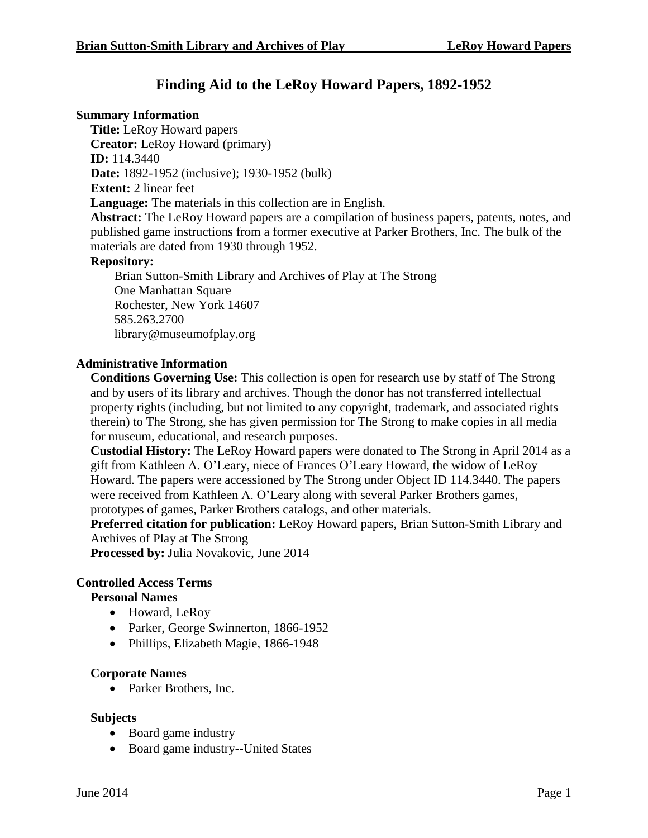# **Finding Aid to the LeRoy Howard Papers, 1892-1952**

### **Summary Information**

**Title:** LeRoy Howard papers **Creator:** LeRoy Howard (primary) **ID:** 114.3440 **Date:** 1892-1952 (inclusive); 1930-1952 (bulk) **Extent:** 2 linear feet **Language:** The materials in this collection are in English.

**Abstract:** The LeRoy Howard papers are a compilation of business papers, patents, notes, and published game instructions from a former executive at Parker Brothers, Inc. The bulk of the materials are dated from 1930 through 1952.

# **Repository:**

Brian Sutton-Smith Library and Archives of Play at The Strong One Manhattan Square Rochester, New York 14607 585.263.2700 library@museumofplay.org

#### **Administrative Information**

**Conditions Governing Use:** This collection is open for research use by staff of The Strong and by users of its library and archives. Though the donor has not transferred intellectual property rights (including, but not limited to any copyright, trademark, and associated rights therein) to The Strong, she has given permission for The Strong to make copies in all media for museum, educational, and research purposes.

**Custodial History:** The LeRoy Howard papers were donated to The Strong in April 2014 as a gift from Kathleen A. O'Leary, niece of Frances O'Leary Howard, the widow of LeRoy Howard. The papers were accessioned by The Strong under Object ID 114.3440. The papers were received from Kathleen A. O'Leary along with several Parker Brothers games, prototypes of games, Parker Brothers catalogs, and other materials.

**Preferred citation for publication:** LeRoy Howard papers, Brian Sutton-Smith Library and Archives of Play at The Strong

**Processed by:** Julia Novakovic, June 2014

#### **Controlled Access Terms**

#### **Personal Names**

- Howard, LeRoy
- Parker, George Swinnerton, 1866-1952
- Phillips, Elizabeth Magie, 1866-1948

#### **Corporate Names**

• Parker Brothers, Inc.

#### **Subjects**

- Board game industry
- Board game industry--United States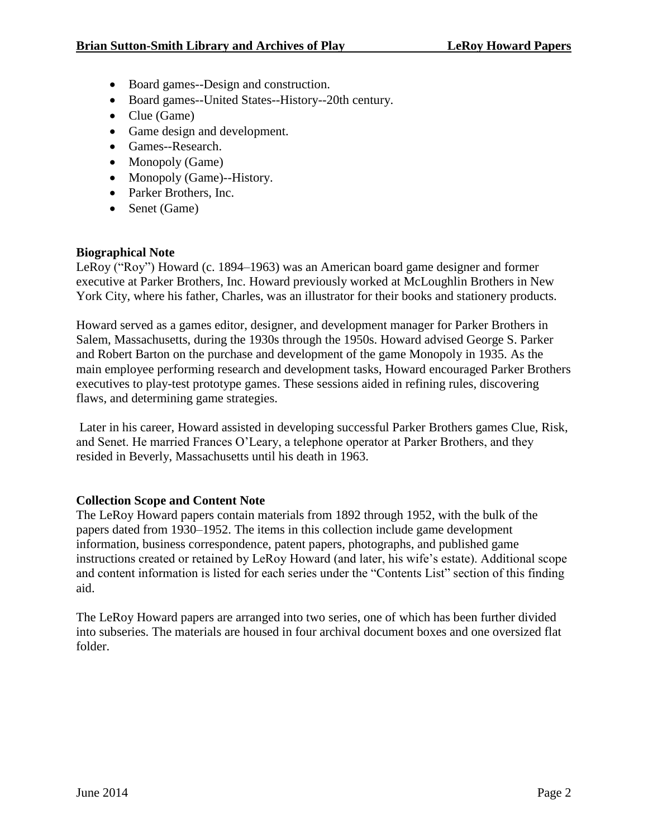- Board games--Design and construction.
- Board games--United States--History--20th century.
- Clue (Game)
- Game design and development.
- Games--Research.
- Monopoly (Game)
- Monopoly (Game)--History.
- Parker Brothers, Inc.
- Senet (Game)

# **Biographical Note**

LeRoy ("Roy") Howard (c. 1894–1963) was an American board game designer and former executive at Parker Brothers, Inc. Howard previously worked at McLoughlin Brothers in New York City, where his father, Charles, was an illustrator for their books and stationery products.

Howard served as a games editor, designer, and development manager for Parker Brothers in Salem, Massachusetts, during the 1930s through the 1950s. Howard advised George S. Parker and Robert Barton on the purchase and development of the game Monopoly in 1935. As the main employee performing research and development tasks, Howard encouraged Parker Brothers executives to play-test prototype games. These sessions aided in refining rules, discovering flaws, and determining game strategies.

Later in his career, Howard assisted in developing successful Parker Brothers games Clue, Risk, and Senet. He married Frances O'Leary, a telephone operator at Parker Brothers, and they resided in Beverly, Massachusetts until his death in 1963.

# **Collection Scope and Content Note**

The LeRoy Howard papers contain materials from 1892 through 1952, with the bulk of the papers dated from 1930–1952. The items in this collection include game development information, business correspondence, patent papers, photographs, and published game instructions created or retained by LeRoy Howard (and later, his wife's estate). Additional scope and content information is listed for each series under the "Contents List" section of this finding aid.

The LeRoy Howard papers are arranged into two series, one of which has been further divided into subseries. The materials are housed in four archival document boxes and one oversized flat folder.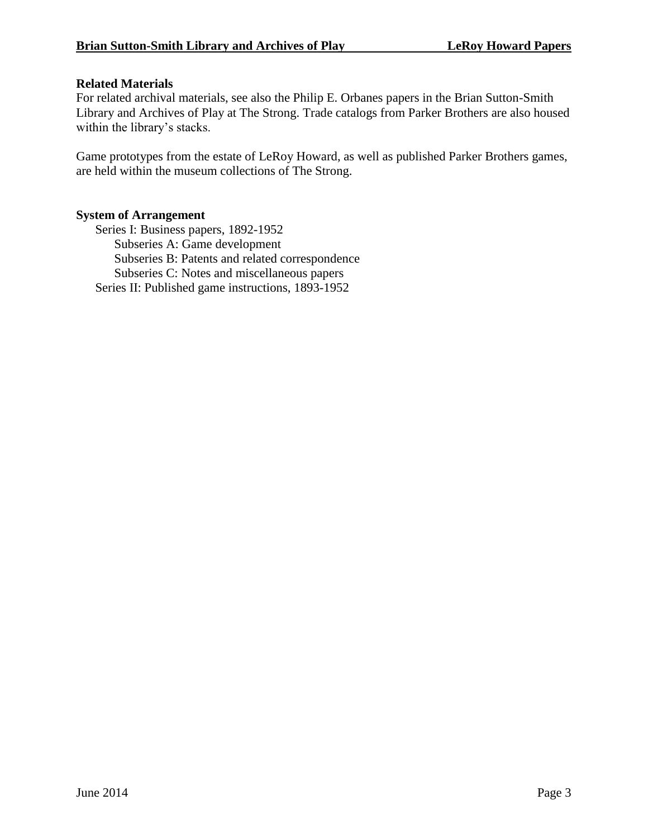# **Related Materials**

For related archival materials, see also the Philip E. Orbanes papers in the Brian Sutton-Smith Library and Archives of Play at The Strong. Trade catalogs from Parker Brothers are also housed within the library's stacks.

Game prototypes from the estate of LeRoy Howard, as well as published Parker Brothers games, are held within the museum collections of The Strong.

# **System of Arrangement**

Series I: Business papers, 1892-1952 Subseries A: Game development Subseries B: Patents and related correspondence Subseries C: Notes and miscellaneous papers Series II: Published game instructions, 1893-1952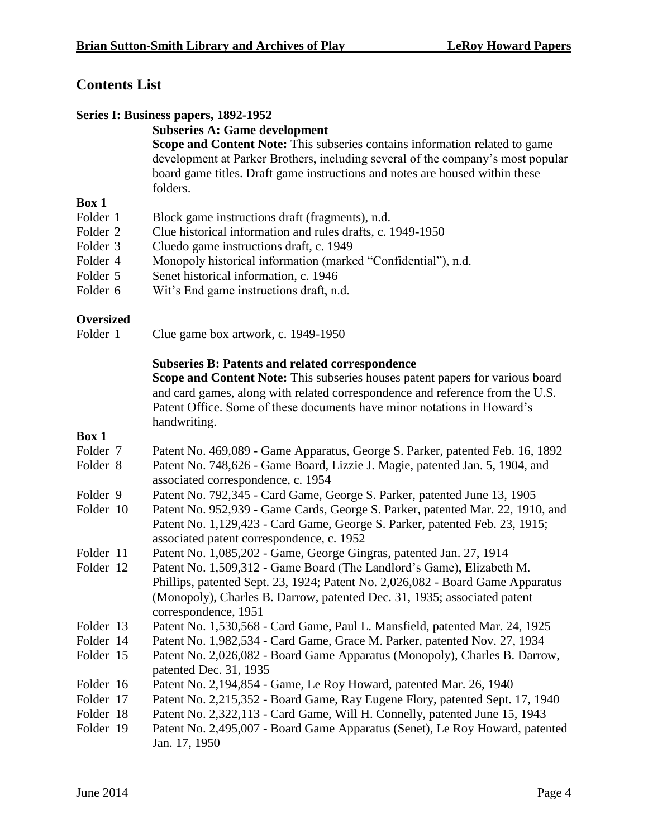# **Contents List**

# **Series I: Business papers, 1892-1952**

# **Subseries A: Game development**

**Scope and Content Note:** This subseries contains information related to game development at Parker Brothers, including several of the company's most popular board game titles. Draft game instructions and notes are housed within these folders.

# **Box 1**

- Folder 1 Block game instructions draft (fragments), n.d.
- Folder 2 Clue historical information and rules drafts, c. 1949-1950
- Folder 3 Cluedo game instructions draft, c. 1949
- Folder 4 Monopoly historical information (marked "Confidential"), n.d.
- Folder 5 Senet historical information, c. 1946
- Folder 6 Wit's End game instructions draft, n.d.

# **Oversized**

Folder 1 Clue game box artwork, c. 1949-1950

# **Subseries B: Patents and related correspondence**

**Scope and Content Note:** This subseries houses patent papers for various board and card games, along with related correspondence and reference from the U.S. Patent Office. Some of these documents have minor notations in Howard's handwriting.

| Folder 7  | Patent No. 469,089 - Game Apparatus, George S. Parker, patented Feb. 16, 1892  |
|-----------|--------------------------------------------------------------------------------|
| Folder 8  | Patent No. 748,626 - Game Board, Lizzie J. Magie, patented Jan. 5, 1904, and   |
|           |                                                                                |
|           | associated correspondence, c. 1954                                             |
| Folder 9  | Patent No. 792,345 - Card Game, George S. Parker, patented June 13, 1905       |
| Folder 10 | Patent No. 952,939 - Game Cards, George S. Parker, patented Mar. 22, 1910, and |
|           | Patent No. 1,129,423 - Card Game, George S. Parker, patented Feb. 23, 1915;    |
|           | associated patent correspondence, c. 1952                                      |
| Folder 11 | Patent No. 1,085,202 - Game, George Gingras, patented Jan. 27, 1914            |
| Folder 12 | Patent No. 1,509,312 - Game Board (The Landlord's Game), Elizabeth M.          |
|           | Phillips, patented Sept. 23, 1924; Patent No. 2,026,082 - Board Game Apparatus |
|           | (Monopoly), Charles B. Darrow, patented Dec. 31, 1935; associated patent       |
|           | correspondence, 1951                                                           |
| Folder 13 | Patent No. 1,530,568 - Card Game, Paul L. Mansfield, patented Mar. 24, 1925    |
| Folder 14 | Patent No. 1,982,534 - Card Game, Grace M. Parker, patented Nov. 27, 1934      |
| Folder 15 | Patent No. 2,026,082 - Board Game Apparatus (Monopoly), Charles B. Darrow,     |
|           | patented Dec. 31, 1935                                                         |
| Folder 16 | Patent No. 2,194,854 - Game, Le Roy Howard, patented Mar. 26, 1940             |
| Folder 17 | Patent No. 2,215,352 - Board Game, Ray Eugene Flory, patented Sept. 17, 1940   |
| Folder 18 | Patent No. 2,322,113 - Card Game, Will H. Connelly, patented June 15, 1943     |
| Folder 19 | Patent No. 2,495,007 - Board Game Apparatus (Senet), Le Roy Howard, patented   |
|           | Jan. 17, 1950                                                                  |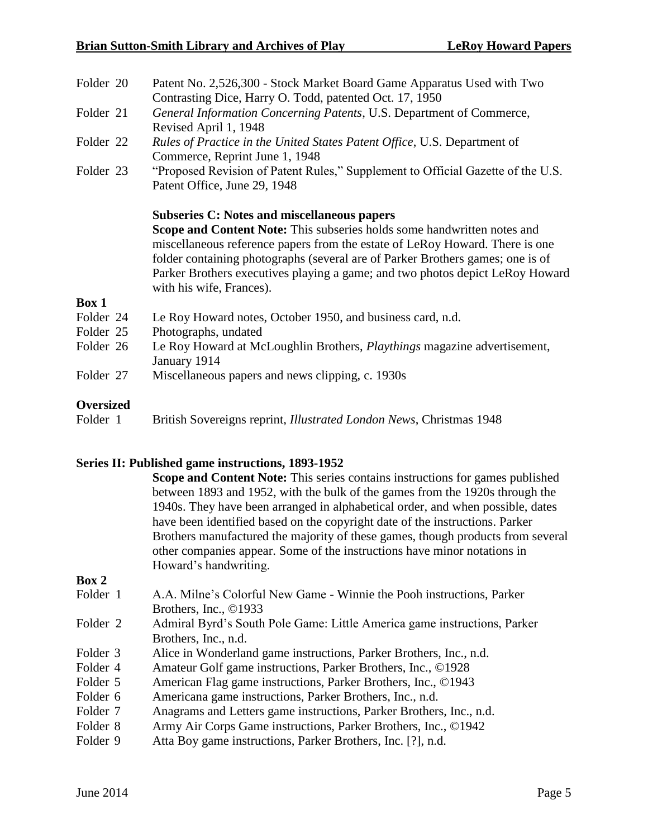| <b>Oversized</b>       | <b>PERIOTECT AND STRUCK AND ARRIVED AT A PARTICIPAL AND A PARTICIPAL AND A PARTICIPAL AND A PARTICIPAL AND A PARTICIPAL AND A PARTICIPAL AND A PARTICIPAL AND A PARTICIPAL AND A PARTICIPAL AND A PARTICIPAL AND A PARTICIPAL AN</b>                                                                                                                                                                         |
|------------------------|--------------------------------------------------------------------------------------------------------------------------------------------------------------------------------------------------------------------------------------------------------------------------------------------------------------------------------------------------------------------------------------------------------------|
| Folder 27              | Miscellaneous papers and news clipping, c. 1930s                                                                                                                                                                                                                                                                                                                                                             |
|                        | January 1914                                                                                                                                                                                                                                                                                                                                                                                                 |
| Folder 25<br>Folder 26 | Photographs, undated<br>Le Roy Howard at McLoughlin Brothers, <i>Playthings</i> magazine advertisement,                                                                                                                                                                                                                                                                                                      |
| Folder 24              | Le Roy Howard notes, October 1950, and business card, n.d.                                                                                                                                                                                                                                                                                                                                                   |
| Box 1                  |                                                                                                                                                                                                                                                                                                                                                                                                              |
|                        | <b>Subseries C: Notes and miscellaneous papers</b><br>Scope and Content Note: This subseries holds some handwritten notes and<br>miscellaneous reference papers from the estate of LeRoy Howard. There is one<br>folder containing photographs (several are of Parker Brothers games; one is of<br>Parker Brothers executives playing a game; and two photos depict LeRoy Howard<br>with his wife, Frances). |
|                        | Patent Office, June 29, 1948                                                                                                                                                                                                                                                                                                                                                                                 |
| Folder 23              | Commerce, Reprint June 1, 1948<br>"Proposed Revision of Patent Rules," Supplement to Official Gazette of the U.S.                                                                                                                                                                                                                                                                                            |
| Folder 22              | Rules of Practice in the United States Patent Office, U.S. Department of                                                                                                                                                                                                                                                                                                                                     |
|                        | Revised April 1, 1948                                                                                                                                                                                                                                                                                                                                                                                        |
| Folder 21              | General Information Concerning Patents, U.S. Department of Commerce,                                                                                                                                                                                                                                                                                                                                         |
|                        | Contrasting Dice, Harry O. Todd, patented Oct. 17, 1950                                                                                                                                                                                                                                                                                                                                                      |
| Folder 20              | Patent No. 2,526,300 - Stock Market Board Game Apparatus Used with Two                                                                                                                                                                                                                                                                                                                                       |

Folder 1 British Sovereigns reprint, *Illustrated London News*, Christmas 1948

#### **Series II: Published game instructions, 1893-1952**

| <b>Scope and Content Note:</b> This series contains instructions for games published |
|--------------------------------------------------------------------------------------|
| between 1893 and 1952, with the bulk of the games from the 1920s through the         |
| 1940s. They have been arranged in alphabetical order, and when possible, dates       |
| have been identified based on the copyright date of the instructions. Parker         |
| Brothers manufactured the majority of these games, though products from several      |
| other companies appear. Some of the instructions have minor notations in             |
| Howard's handwriting.                                                                |

- Folder 1 A.A. Milne's Colorful New Game Winnie the Pooh instructions, Parker Brothers, Inc., ©1933
- Folder 2 Admiral Byrd's South Pole Game: Little America game instructions, Parker Brothers, Inc., n.d.
- Folder 3 Alice in Wonderland game instructions, Parker Brothers, Inc., n.d.
- Folder 4 Amateur Golf game instructions, Parker Brothers, Inc., ©1928
- Folder 5 American Flag game instructions, Parker Brothers, Inc., ©1943
- Folder 6 Americana game instructions, Parker Brothers, Inc., n.d.
- Folder 7 Anagrams and Letters game instructions, Parker Brothers, Inc., n.d.
- Folder 8 Army Air Corps Game instructions, Parker Brothers, Inc., ©1942
- Folder 9 Atta Boy game instructions, Parker Brothers, Inc. [?], n.d.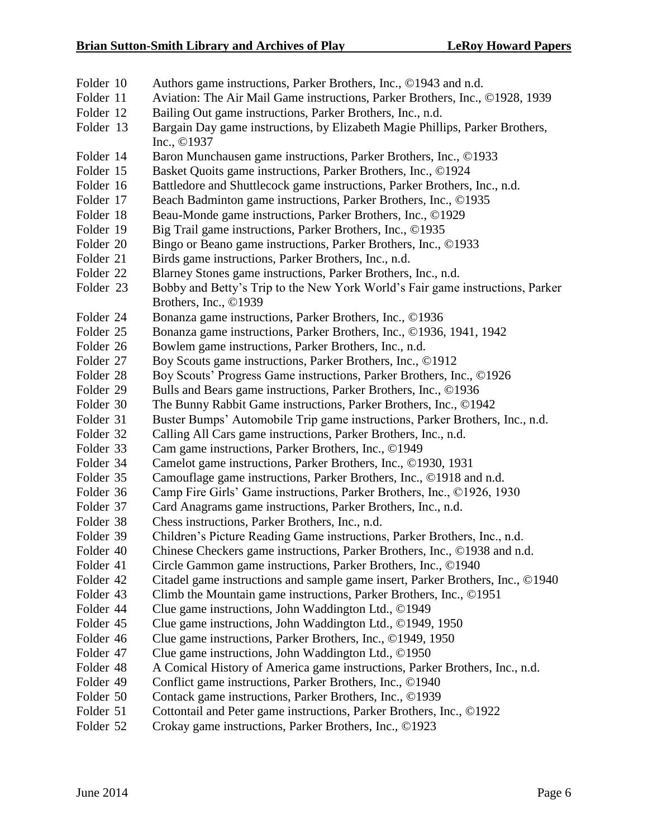- Folder 10 Authors game instructions, Parker Brothers, Inc., ©1943 and n.d.
- Folder 11 Aviation: The Air Mail Game instructions, Parker Brothers, Inc., ©1928, 1939
- Folder 12 Bailing Out game instructions, Parker Brothers, Inc., n.d.
- Folder 13 Bargain Day game instructions, by Elizabeth Magie Phillips, Parker Brothers, Inc., ©1937
- Folder 14 Baron Munchausen game instructions, Parker Brothers, Inc., ©1933
- Folder 15 Basket Quoits game instructions, Parker Brothers, Inc., ©1924
- Folder 16 Battledore and Shuttlecock game instructions, Parker Brothers, Inc., n.d.
- Folder 17 Beach Badminton game instructions, Parker Brothers, Inc., ©1935
- Folder 18 Beau-Monde game instructions, Parker Brothers, Inc., ©1929
- Folder 19 Big Trail game instructions, Parker Brothers, Inc., ©1935
- Folder 20 Bingo or Beano game instructions, Parker Brothers, Inc., ©1933
- Folder 21 Birds game instructions, Parker Brothers, Inc., n.d.
- Folder 22 Blarney Stones game instructions, Parker Brothers, Inc., n.d.
- Folder 23 Bobby and Betty's Trip to the New York World's Fair game instructions, Parker Brothers, Inc., ©1939
- Folder 24 Bonanza game instructions, Parker Brothers, Inc., ©1936
- Folder 25 Bonanza game instructions, Parker Brothers, Inc., ©1936, 1941, 1942
- Folder 26 Bowlem game instructions, Parker Brothers, Inc., n.d.
- Folder 27 Boy Scouts game instructions, Parker Brothers, Inc., ©1912
- Folder 28 Boy Scouts' Progress Game instructions, Parker Brothers, Inc., ©1926
- Folder 29 Bulls and Bears game instructions, Parker Brothers, Inc., ©1936
- Folder 30 The Bunny Rabbit Game instructions, Parker Brothers, Inc., ©1942
- Folder 31 Buster Bumps' Automobile Trip game instructions, Parker Brothers, Inc., n.d.
- Folder 32 Calling All Cars game instructions, Parker Brothers, Inc., n.d.
- Folder 33 Cam game instructions, Parker Brothers, Inc., ©1949
- Folder 34 Camelot game instructions, Parker Brothers, Inc., ©1930, 1931
- Folder 35 Camouflage game instructions, Parker Brothers, Inc., ©1918 and n.d.
- Folder 36 Camp Fire Girls' Game instructions, Parker Brothers, Inc., ©1926, 1930
- Folder 37 Card Anagrams game instructions, Parker Brothers, Inc., n.d.
- Folder 38 Chess instructions, Parker Brothers, Inc., n.d.
- Folder 39 Children's Picture Reading Game instructions, Parker Brothers, Inc., n.d.
- Folder 40 Chinese Checkers game instructions, Parker Brothers, Inc., ©1938 and n.d.
- Folder 41 Circle Gammon game instructions, Parker Brothers, Inc., ©1940
- Folder 42 Citadel game instructions and sample game insert, Parker Brothers, Inc., ©1940
- Folder 43 Climb the Mountain game instructions, Parker Brothers, Inc., ©1951
- Folder 44 Clue game instructions, John Waddington Ltd., ©1949
- Folder 45 Clue game instructions, John Waddington Ltd., ©1949, 1950
- Folder 46 Clue game instructions, Parker Brothers, Inc., ©1949, 1950
- Folder 47 Clue game instructions, John Waddington Ltd., ©1950
- Folder 48 A Comical History of America game instructions, Parker Brothers, Inc., n.d.
- Folder 49 Conflict game instructions, Parker Brothers, Inc., ©1940
- Folder 50 Contack game instructions, Parker Brothers, Inc., ©1939
- Folder 51 Cottontail and Peter game instructions, Parker Brothers, Inc., ©1922
- Folder 52 Crokay game instructions, Parker Brothers, Inc., ©1923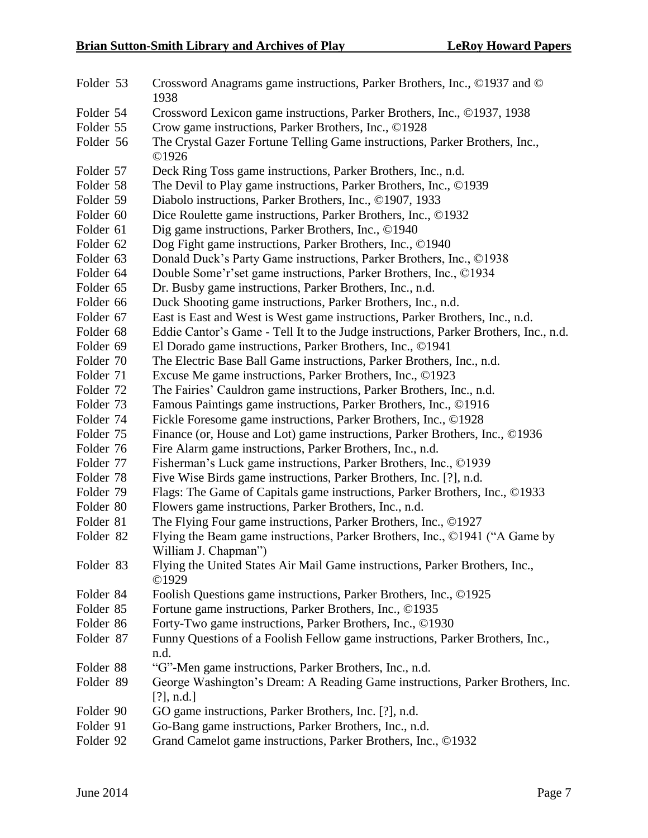| Folder 53 | Crossword Anagrams game instructions, Parker Brothers, Inc., ©1937 and ©<br>1938     |  |  |  |  |
|-----------|--------------------------------------------------------------------------------------|--|--|--|--|
| Folder 54 | Crossword Lexicon game instructions, Parker Brothers, Inc., ©1937, 1938              |  |  |  |  |
| Folder 55 | Crow game instructions, Parker Brothers, Inc., ©1928                                 |  |  |  |  |
| Folder 56 | The Crystal Gazer Fortune Telling Game instructions, Parker Brothers, Inc.,<br>©1926 |  |  |  |  |
| Folder 57 | Deck Ring Toss game instructions, Parker Brothers, Inc., n.d.                        |  |  |  |  |
| Folder 58 | The Devil to Play game instructions, Parker Brothers, Inc., ©1939                    |  |  |  |  |
| Folder 59 | Diabolo instructions, Parker Brothers, Inc., ©1907, 1933                             |  |  |  |  |
| Folder 60 | Dice Roulette game instructions, Parker Brothers, Inc., ©1932                        |  |  |  |  |
| Folder 61 | Dig game instructions, Parker Brothers, Inc., ©1940                                  |  |  |  |  |
| Folder 62 | Dog Fight game instructions, Parker Brothers, Inc., ©1940                            |  |  |  |  |
| Folder 63 | Donald Duck's Party Game instructions, Parker Brothers, Inc., ©1938                  |  |  |  |  |
| Folder 64 | Double Some'r's et game instructions, Parker Brothers, Inc., ©1934                   |  |  |  |  |
| Folder 65 | Dr. Busby game instructions, Parker Brothers, Inc., n.d.                             |  |  |  |  |
| Folder 66 | Duck Shooting game instructions, Parker Brothers, Inc., n.d.                         |  |  |  |  |
| Folder 67 | East is East and West is West game instructions, Parker Brothers, Inc., n.d.         |  |  |  |  |
| Folder 68 | Eddie Cantor's Game - Tell It to the Judge instructions, Parker Brothers, Inc., n.d. |  |  |  |  |
| Folder 69 | El Dorado game instructions, Parker Brothers, Inc., ©1941                            |  |  |  |  |
| Folder 70 | The Electric Base Ball Game instructions, Parker Brothers, Inc., n.d.                |  |  |  |  |
| Folder 71 | Excuse Me game instructions, Parker Brothers, Inc., ©1923                            |  |  |  |  |
| Folder 72 | The Fairies' Cauldron game instructions, Parker Brothers, Inc., n.d.                 |  |  |  |  |
| Folder 73 | Famous Paintings game instructions, Parker Brothers, Inc., ©1916                     |  |  |  |  |
| Folder 74 | Fickle Foresome game instructions, Parker Brothers, Inc., ©1928                      |  |  |  |  |
| Folder 75 | Finance (or, House and Lot) game instructions, Parker Brothers, Inc., ©1936          |  |  |  |  |
| Folder 76 | Fire Alarm game instructions, Parker Brothers, Inc., n.d.                            |  |  |  |  |
| Folder 77 | Fisherman's Luck game instructions, Parker Brothers, Inc., ©1939                     |  |  |  |  |
| Folder 78 | Five Wise Birds game instructions, Parker Brothers, Inc. [?], n.d.                   |  |  |  |  |
| Folder 79 | Flags: The Game of Capitals game instructions, Parker Brothers, Inc., ©1933          |  |  |  |  |
| Folder 80 | Flowers game instructions, Parker Brothers, Inc., n.d.                               |  |  |  |  |
| Folder 81 | The Flying Four game instructions, Parker Brothers, Inc., ©1927                      |  |  |  |  |
| Folder 82 | Flying the Beam game instructions, Parker Brothers, Inc., ©1941 ("A Game by          |  |  |  |  |
|           | William J. Chapman")                                                                 |  |  |  |  |
| Folder 83 | Flying the United States Air Mail Game instructions, Parker Brothers, Inc.,<br>©1929 |  |  |  |  |
| Folder 84 | Foolish Questions game instructions, Parker Brothers, Inc., ©1925                    |  |  |  |  |
| Folder 85 | Fortune game instructions, Parker Brothers, Inc., ©1935                              |  |  |  |  |
| Folder 86 | Forty-Two game instructions, Parker Brothers, Inc., ©1930                            |  |  |  |  |
| Folder 87 | Funny Questions of a Foolish Fellow game instructions, Parker Brothers, Inc.,        |  |  |  |  |
|           | n.d.                                                                                 |  |  |  |  |
| Folder 88 | "G"-Men game instructions, Parker Brothers, Inc., n.d.                               |  |  |  |  |
| Folder 89 | George Washington's Dream: A Reading Game instructions, Parker Brothers, Inc.        |  |  |  |  |
|           | $[?]$ , n.d.]                                                                        |  |  |  |  |
| Folder 90 | GO game instructions, Parker Brothers, Inc. [?], n.d.                                |  |  |  |  |
| Folder 91 | Go-Bang game instructions, Parker Brothers, Inc., n.d.                               |  |  |  |  |
| Folder 92 | Grand Camelot game instructions, Parker Brothers, Inc., ©1932                        |  |  |  |  |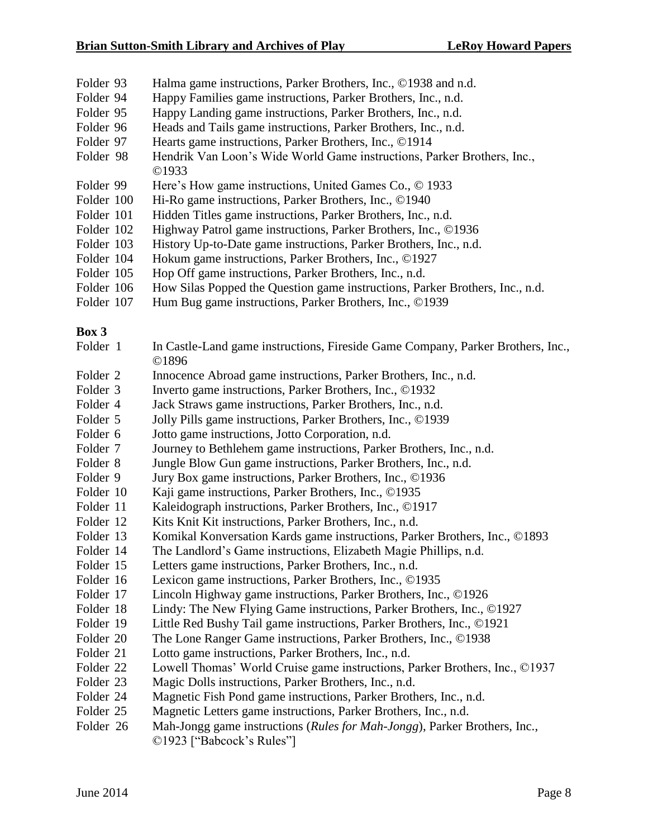- Folder 93 Halma game instructions, Parker Brothers, Inc., ©1938 and n.d.
- Folder 94 Happy Families game instructions, Parker Brothers, Inc., n.d.
- Folder 95 Happy Landing game instructions, Parker Brothers, Inc., n.d.
- Folder 96 Heads and Tails game instructions, Parker Brothers, Inc., n.d.
- Folder 97 Hearts game instructions, Parker Brothers, Inc., ©1914
- Folder 98 Hendrik Van Loon's Wide World Game instructions, Parker Brothers, Inc., ©1933
- Folder 99 Here's How game instructions, United Games Co., © 1933
- Folder 100 Hi-Ro game instructions, Parker Brothers, Inc., ©1940
- Folder 101 Hidden Titles game instructions, Parker Brothers, Inc., n.d.
- Folder 102 Highway Patrol game instructions, Parker Brothers, Inc., ©1936
- Folder 103 History Up-to-Date game instructions, Parker Brothers, Inc., n.d.
- Folder 104 Hokum game instructions, Parker Brothers, Inc., ©1927
- Folder 105 Hop Off game instructions, Parker Brothers, Inc., n.d.
- Folder 106 How Silas Popped the Question game instructions, Parker Brothers, Inc., n.d.
- Folder 107 Hum Bug game instructions, Parker Brothers, Inc., ©1939

- Folder 1 In Castle-Land game instructions, Fireside Game Company, Parker Brothers, Inc., ©1896
- Folder 2 Innocence Abroad game instructions, Parker Brothers, Inc., n.d.
- Folder 3 Inverto game instructions, Parker Brothers, Inc., ©1932
- Folder 4 Jack Straws game instructions, Parker Brothers, Inc., n.d.
- Folder 5 Jolly Pills game instructions, Parker Brothers, Inc., ©1939
- Folder 6 Jotto game instructions, Jotto Corporation, n.d.
- Folder 7 Journey to Bethlehem game instructions, Parker Brothers, Inc., n.d.
- Folder 8 Jungle Blow Gun game instructions, Parker Brothers, Inc., n.d.
- Folder 9 Jury Box game instructions, Parker Brothers, Inc., ©1936
- Folder 10 Kaji game instructions, Parker Brothers, Inc., ©1935
- Folder 11 Kaleidograph instructions, Parker Brothers, Inc., ©1917
- Folder 12 Kits Knit Kit instructions, Parker Brothers, Inc., n.d.
- Folder 13 Komikal Konversation Kards game instructions, Parker Brothers, Inc., ©1893
- Folder 14 The Landlord's Game instructions, Elizabeth Magie Phillips, n.d.
- Folder 15 Letters game instructions, Parker Brothers, Inc., n.d.
- Folder 16 Lexicon game instructions, Parker Brothers, Inc., ©1935
- Folder 17 Lincoln Highway game instructions, Parker Brothers, Inc., ©1926
- Folder 18 Lindy: The New Flying Game instructions, Parker Brothers, Inc., ©1927
- Folder 19 Little Red Bushy Tail game instructions, Parker Brothers, Inc., ©1921
- Folder 20 The Lone Ranger Game instructions, Parker Brothers, Inc., ©1938
- Folder 21 Lotto game instructions, Parker Brothers, Inc., n.d.
- Folder 22 Lowell Thomas' World Cruise game instructions, Parker Brothers, Inc., ©1937
- Folder 23 Magic Dolls instructions, Parker Brothers, Inc., n.d.
- Folder 24 Magnetic Fish Pond game instructions, Parker Brothers, Inc., n.d.
- Folder 25 Magnetic Letters game instructions, Parker Brothers, Inc., n.d.
- Folder 26 Mah-Jongg game instructions (*Rules for Mah-Jongg*), Parker Brothers, Inc., ©1923 ["Babcock's Rules"]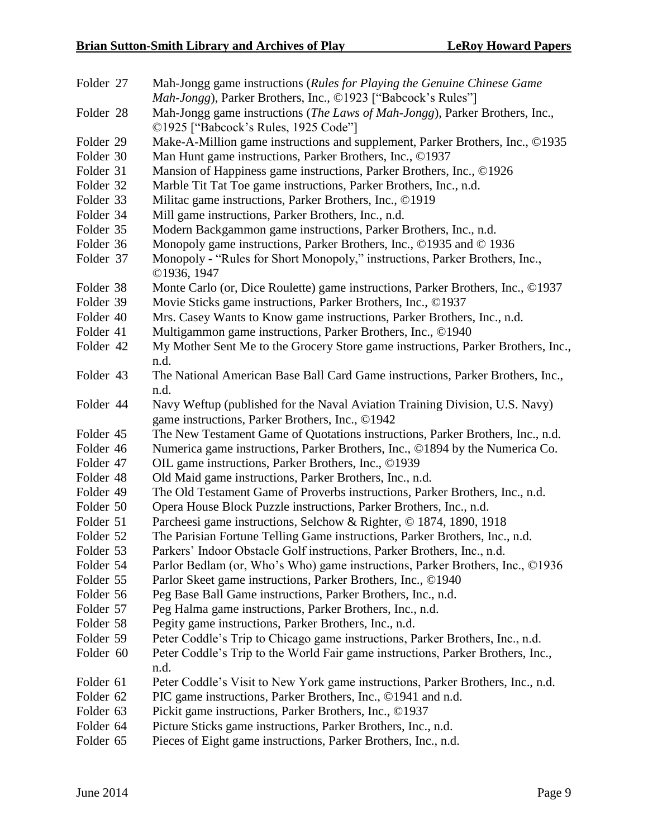| Folder 27 | Mah-Jongg game instructions (Rules for Playing the Genuine Chinese Game                                                        |
|-----------|--------------------------------------------------------------------------------------------------------------------------------|
|           | Mah-Jongg), Parker Brothers, Inc., ©1923 ["Babcock's Rules"]                                                                   |
| Folder 28 | Mah-Jongg game instructions (The Laws of Mah-Jongg), Parker Brothers, Inc.,<br>©1925 ["Babcock's Rules, 1925 Code"]            |
| Folder 29 | Make-A-Million game instructions and supplement, Parker Brothers, Inc., ©1935                                                  |
| Folder 30 | Man Hunt game instructions, Parker Brothers, Inc., ©1937                                                                       |
| Folder 31 | Mansion of Happiness game instructions, Parker Brothers, Inc., ©1926                                                           |
| Folder 32 | Marble Tit Tat Toe game instructions, Parker Brothers, Inc., n.d.                                                              |
| Folder 33 | Militac game instructions, Parker Brothers, Inc., ©1919                                                                        |
| Folder 34 | Mill game instructions, Parker Brothers, Inc., n.d.                                                                            |
| Folder 35 | Modern Backgammon game instructions, Parker Brothers, Inc., n.d.                                                               |
| Folder 36 | Monopoly game instructions, Parker Brothers, Inc., ©1935 and © 1936                                                            |
| Folder 37 | Monopoly - "Rules for Short Monopoly," instructions, Parker Brothers, Inc.,<br>©1936, 1947                                     |
| Folder 38 | Monte Carlo (or, Dice Roulette) game instructions, Parker Brothers, Inc., ©1937                                                |
| Folder 39 | Movie Sticks game instructions, Parker Brothers, Inc., ©1937                                                                   |
| Folder 40 | Mrs. Casey Wants to Know game instructions, Parker Brothers, Inc., n.d.                                                        |
| Folder 41 | Multigammon game instructions, Parker Brothers, Inc., ©1940                                                                    |
| Folder 42 | My Mother Sent Me to the Grocery Store game instructions, Parker Brothers, Inc.,<br>n.d.                                       |
| Folder 43 | The National American Base Ball Card Game instructions, Parker Brothers, Inc.,<br>n.d.                                         |
| Folder 44 | Navy Weftup (published for the Naval Aviation Training Division, U.S. Navy)<br>game instructions, Parker Brothers, Inc., ©1942 |
| Folder 45 | The New Testament Game of Quotations instructions, Parker Brothers, Inc., n.d.                                                 |
| Folder 46 | Numerica game instructions, Parker Brothers, Inc., ©1894 by the Numerica Co.                                                   |
| Folder 47 | OIL game instructions, Parker Brothers, Inc., ©1939                                                                            |
| Folder 48 | Old Maid game instructions, Parker Brothers, Inc., n.d.                                                                        |
| Folder 49 | The Old Testament Game of Proverbs instructions, Parker Brothers, Inc., n.d.                                                   |
| Folder 50 | Opera House Block Puzzle instructions, Parker Brothers, Inc., n.d.                                                             |
| Folder 51 | Parcheesi game instructions, Selchow & Righter, © 1874, 1890, 1918                                                             |
| Folder 52 | The Parisian Fortune Telling Game instructions, Parker Brothers, Inc., n.d.                                                    |
| Folder 53 | Parkers' Indoor Obstacle Golf instructions, Parker Brothers, Inc., n.d.                                                        |
| Folder 54 | Parlor Bedlam (or, Who's Who) game instructions, Parker Brothers, Inc., ©1936                                                  |
| Folder 55 | Parlor Skeet game instructions, Parker Brothers, Inc., ©1940                                                                   |
| Folder 56 | Peg Base Ball Game instructions, Parker Brothers, Inc., n.d.                                                                   |
| Folder 57 | Peg Halma game instructions, Parker Brothers, Inc., n.d.                                                                       |
| Folder 58 | Pegity game instructions, Parker Brothers, Inc., n.d.                                                                          |
| Folder 59 | Peter Coddle's Trip to Chicago game instructions, Parker Brothers, Inc., n.d.                                                  |
| Folder 60 | Peter Coddle's Trip to the World Fair game instructions, Parker Brothers, Inc.,                                                |
|           | n.d.                                                                                                                           |
| Folder 61 | Peter Coddle's Visit to New York game instructions, Parker Brothers, Inc., n.d.                                                |
| Folder 62 | PIC game instructions, Parker Brothers, Inc., ©1941 and n.d.                                                                   |
| Folder 63 | Pickit game instructions, Parker Brothers, Inc., ©1937                                                                         |
| Folder 64 | Picture Sticks game instructions, Parker Brothers, Inc., n.d.                                                                  |
|           |                                                                                                                                |

Folder 65 Pieces of Eight game instructions, Parker Brothers, Inc., n.d.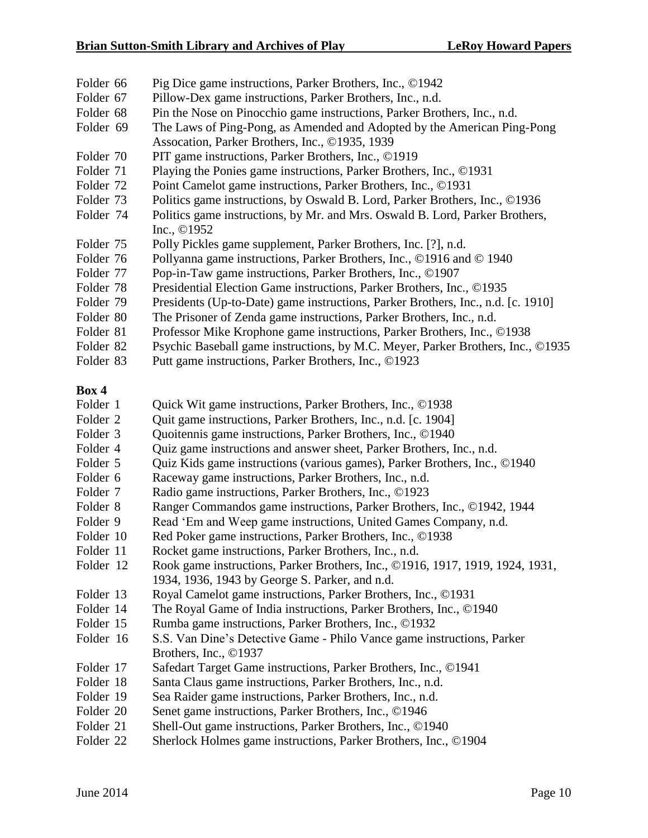- Folder 66 Pig Dice game instructions, Parker Brothers, Inc., ©1942
- Folder 67 Pillow-Dex game instructions, Parker Brothers, Inc., n.d.
- Folder 68 Pin the Nose on Pinocchio game instructions, Parker Brothers, Inc., n.d.
- Folder 69 The Laws of Ping-Pong, as Amended and Adopted by the American Ping-Pong Assocation, Parker Brothers, Inc., ©1935, 1939
- Folder 70 PIT game instructions, Parker Brothers, Inc., ©1919
- Folder 71 Playing the Ponies game instructions, Parker Brothers, Inc., ©1931
- Folder 72 Point Camelot game instructions, Parker Brothers, Inc., ©1931
- Folder 73 Politics game instructions, by Oswald B. Lord, Parker Brothers, Inc., ©1936
- Folder 74 Politics game instructions, by Mr. and Mrs. Oswald B. Lord, Parker Brothers, Inc., ©1952
- Folder 75 Polly Pickles game supplement, Parker Brothers, Inc. [?], n.d.
- Folder 76 Pollyanna game instructions, Parker Brothers, Inc., ©1916 and © 1940
- Folder 77 Pop-in-Taw game instructions, Parker Brothers, Inc., ©1907
- Folder 78 Presidential Election Game instructions, Parker Brothers, Inc., ©1935
- Folder 79 Presidents (Up-to-Date) game instructions, Parker Brothers, Inc., n.d. [c. 1910]
- Folder 80 The Prisoner of Zenda game instructions, Parker Brothers, Inc., n.d.
- Folder 81 Professor Mike Krophone game instructions, Parker Brothers, Inc., ©1938
- Folder 82 Psychic Baseball game instructions, by M.C. Meyer, Parker Brothers, Inc., ©1935
- Folder 83 Putt game instructions, Parker Brothers, Inc., ©1923

- Folder 1 Quick Wit game instructions, Parker Brothers, Inc., ©1938
- Folder 2 Quit game instructions, Parker Brothers, Inc., n.d. [c. 1904]
- Folder 3 Quoitennis game instructions, Parker Brothers, Inc., ©1940
- Folder 4 Quiz game instructions and answer sheet, Parker Brothers, Inc., n.d.
- Folder 5 Quiz Kids game instructions (various games), Parker Brothers, Inc., ©1940
- Folder 6 Raceway game instructions, Parker Brothers, Inc., n.d.
- Folder 7 Radio game instructions, Parker Brothers, Inc., ©1923
- Folder 8 Ranger Commandos game instructions, Parker Brothers, Inc., ©1942, 1944
- Folder 9 Read 'Em and Weep game instructions, United Games Company, n.d.
- Folder 10 Red Poker game instructions, Parker Brothers, Inc., ©1938
- Folder 11 Rocket game instructions, Parker Brothers, Inc., n.d.
- Folder 12 Rook game instructions, Parker Brothers, Inc., ©1916, 1917, 1919, 1924, 1931, 1934, 1936, 1943 by George S. Parker, and n.d.
- Folder 13 Royal Camelot game instructions, Parker Brothers, Inc., ©1931
- Folder 14 The Royal Game of India instructions, Parker Brothers, Inc., ©1940
- Folder 15 Rumba game instructions, Parker Brothers, Inc., ©1932
- Folder 16 S.S. Van Dine's Detective Game Philo Vance game instructions, Parker Brothers, Inc., ©1937
- Folder 17 Safedart Target Game instructions, Parker Brothers, Inc., ©1941
- Folder 18 Santa Claus game instructions, Parker Brothers, Inc., n.d.
- Folder 19 Sea Raider game instructions, Parker Brothers, Inc., n.d.
- Folder 20 Senet game instructions, Parker Brothers, Inc., ©1946
- Folder 21 Shell-Out game instructions, Parker Brothers, Inc., ©1940
- Folder 22 Sherlock Holmes game instructions, Parker Brothers, Inc., ©1904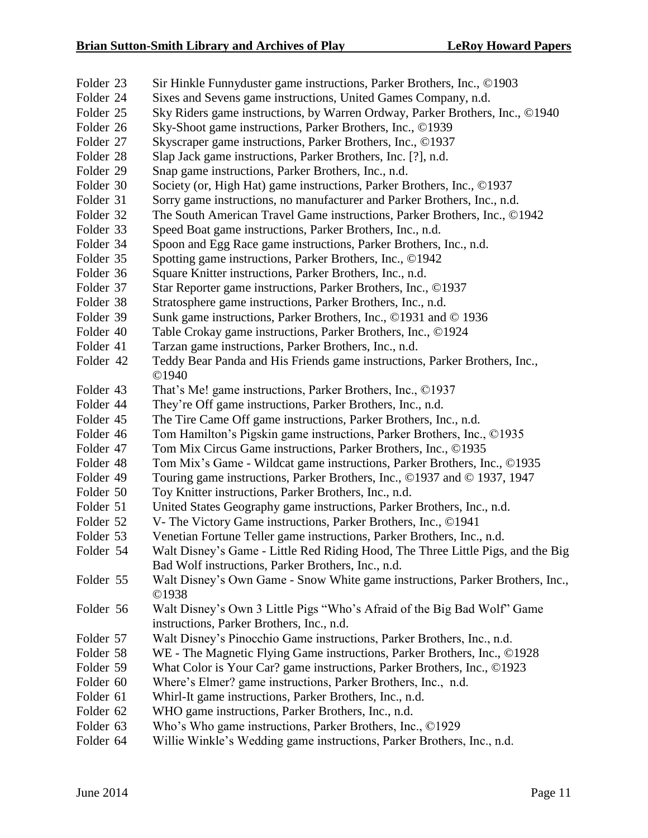- Folder 23 Sir Hinkle Funnyduster game instructions, Parker Brothers, Inc., ©1903
- Folder 24 Sixes and Sevens game instructions, United Games Company, n.d.
- Folder 25 Sky Riders game instructions, by Warren Ordway, Parker Brothers, Inc., ©1940
- Folder 26 Sky-Shoot game instructions, Parker Brothers, Inc., ©1939
- Folder 27 Skyscraper game instructions, Parker Brothers, Inc., ©1937
- Folder 28 Slap Jack game instructions, Parker Brothers, Inc. [?], n.d.
- Folder 29 Snap game instructions, Parker Brothers, Inc., n.d.
- Folder 30 Society (or, High Hat) game instructions, Parker Brothers, Inc., ©1937
- Folder 31 Sorry game instructions, no manufacturer and Parker Brothers, Inc., n.d.
- Folder 32 The South American Travel Game instructions, Parker Brothers, Inc., ©1942
- Folder 33 Speed Boat game instructions, Parker Brothers, Inc., n.d.
- Folder 34 Spoon and Egg Race game instructions, Parker Brothers, Inc., n.d.
- Folder 35 Spotting game instructions, Parker Brothers, Inc., ©1942
- Folder 36 Square Knitter instructions, Parker Brothers, Inc., n.d.
- Folder 37 Star Reporter game instructions, Parker Brothers, Inc., ©1937
- Folder 38 Stratosphere game instructions, Parker Brothers, Inc., n.d.
- Folder 39 Sunk game instructions, Parker Brothers, Inc., ©1931 and © 1936
- Folder 40 Table Crokay game instructions, Parker Brothers, Inc., ©1924
- Folder 41 Tarzan game instructions, Parker Brothers, Inc., n.d.
- Folder 42 Teddy Bear Panda and His Friends game instructions, Parker Brothers, Inc., ©1940
- Folder 43 That's Me! game instructions, Parker Brothers, Inc., ©1937
- Folder 44 They're Off game instructions, Parker Brothers, Inc., n.d.
- Folder 45 The Tire Came Off game instructions, Parker Brothers, Inc., n.d.
- Folder 46 Tom Hamilton's Pigskin game instructions, Parker Brothers, Inc., ©1935
- Folder 47 Tom Mix Circus Game instructions, Parker Brothers, Inc., ©1935
- Folder 48 Tom Mix's Game Wildcat game instructions, Parker Brothers, Inc., ©1935
- Folder 49 Touring game instructions, Parker Brothers, Inc., ©1937 and © 1937, 1947
- Folder 50 Toy Knitter instructions, Parker Brothers, Inc., n.d.
- Folder 51 United States Geography game instructions, Parker Brothers, Inc., n.d.
- Folder 52 V- The Victory Game instructions, Parker Brothers, Inc., ©1941
- Folder 53 Venetian Fortune Teller game instructions, Parker Brothers, Inc., n.d.
- Folder 54 Walt Disney's Game Little Red Riding Hood, The Three Little Pigs, and the Big Bad Wolf instructions, Parker Brothers, Inc., n.d.
- Folder 55 Walt Disney's Own Game Snow White game instructions, Parker Brothers, Inc., ©1938
- Folder 56 Walt Disney's Own 3 Little Pigs "Who's Afraid of the Big Bad Wolf" Game instructions, Parker Brothers, Inc., n.d.
- Folder 57 Walt Disney's Pinocchio Game instructions, Parker Brothers, Inc., n.d.
- Folder 58 WE The Magnetic Flying Game instructions, Parker Brothers, Inc., ©1928
- Folder 59 What Color is Your Car? game instructions, Parker Brothers, Inc., ©1923
- Folder 60 Where's Elmer? game instructions, Parker Brothers, Inc., n.d.
- Folder 61 Whirl-It game instructions, Parker Brothers, Inc., n.d.
- Folder 62 WHO game instructions, Parker Brothers, Inc., n.d.
- Folder 63 Who's Who game instructions, Parker Brothers, Inc., ©1929
- Folder 64 Willie Winkle's Wedding game instructions, Parker Brothers, Inc., n.d.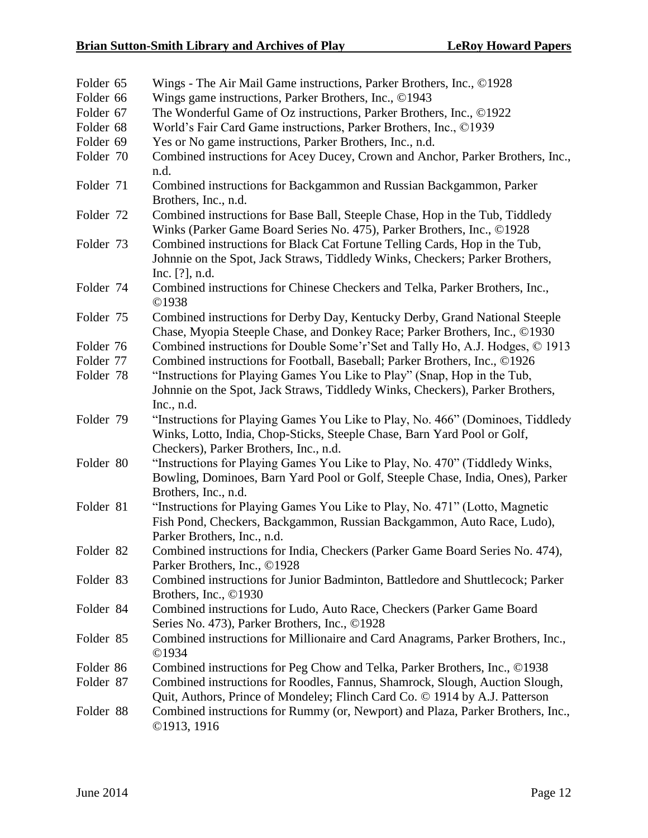| Folder 65 | Wings - The Air Mail Game instructions, Parker Brothers, Inc., ©1928            |
|-----------|---------------------------------------------------------------------------------|
| Folder 66 | Wings game instructions, Parker Brothers, Inc., ©1943                           |
| Folder 67 | The Wonderful Game of Oz instructions, Parker Brothers, Inc., ©1922             |
| Folder 68 | World's Fair Card Game instructions, Parker Brothers, Inc., ©1939               |
| Folder 69 | Yes or No game instructions, Parker Brothers, Inc., n.d.                        |
| Folder 70 | Combined instructions for Acey Ducey, Crown and Anchor, Parker Brothers, Inc.,  |
|           | n.d.                                                                            |
| Folder 71 | Combined instructions for Backgammon and Russian Backgammon, Parker             |
|           | Brothers, Inc., n.d.                                                            |
| Folder 72 | Combined instructions for Base Ball, Steeple Chase, Hop in the Tub, Tiddledy    |
|           | Winks (Parker Game Board Series No. 475), Parker Brothers, Inc., ©1928          |
| Folder 73 | Combined instructions for Black Cat Fortune Telling Cards, Hop in the Tub,      |
|           | Johnnie on the Spot, Jack Straws, Tiddledy Winks, Checkers; Parker Brothers,    |
|           | Inc. [?], n.d.                                                                  |
| Folder 74 | Combined instructions for Chinese Checkers and Telka, Parker Brothers, Inc.,    |
|           | ©1938                                                                           |
| Folder 75 | Combined instructions for Derby Day, Kentucky Derby, Grand National Steeple     |
|           | Chase, Myopia Steeple Chase, and Donkey Race; Parker Brothers, Inc., ©1930      |
| Folder 76 | Combined instructions for Double Some'r'Set and Tally Ho, A.J. Hodges, © 1913   |
| Folder 77 | Combined instructions for Football, Baseball; Parker Brothers, Inc., ©1926      |
| Folder 78 | "Instructions for Playing Games You Like to Play" (Snap, Hop in the Tub,        |
|           | Johnnie on the Spot, Jack Straws, Tiddledy Winks, Checkers), Parker Brothers,   |
|           | Inc., $n.d.$                                                                    |
| Folder 79 | "Instructions for Playing Games You Like to Play, No. 466" (Dominoes, Tiddledy  |
|           | Winks, Lotto, India, Chop-Sticks, Steeple Chase, Barn Yard Pool or Golf,        |
|           | Checkers), Parker Brothers, Inc., n.d.                                          |
| Folder 80 | "Instructions for Playing Games You Like to Play, No. 470" (Tiddledy Winks,     |
|           | Bowling, Dominoes, Barn Yard Pool or Golf, Steeple Chase, India, Ones), Parker  |
|           | Brothers, Inc., n.d.                                                            |
| Folder 81 | "Instructions for Playing Games You Like to Play, No. 471" (Lotto, Magnetic     |
|           | Fish Pond, Checkers, Backgammon, Russian Backgammon, Auto Race, Ludo),          |
|           | Parker Brothers, Inc., n.d.                                                     |
| Folder 82 | Combined instructions for India, Checkers (Parker Game Board Series No. 474),   |
|           | Parker Brothers, Inc., ©1928                                                    |
| Folder 83 | Combined instructions for Junior Badminton, Battledore and Shuttlecock; Parker  |
|           | Brothers, Inc., ©1930                                                           |
| Folder 84 | Combined instructions for Ludo, Auto Race, Checkers (Parker Game Board          |
|           | Series No. 473), Parker Brothers, Inc., ©1928                                   |
| Folder 85 | Combined instructions for Millionaire and Card Anagrams, Parker Brothers, Inc., |
|           | ©1934                                                                           |
| Folder 86 | Combined instructions for Peg Chow and Telka, Parker Brothers, Inc., ©1938      |
| Folder 87 | Combined instructions for Roodles, Fannus, Shamrock, Slough, Auction Slough,    |
|           | Quit, Authors, Prince of Mondeley; Flinch Card Co. © 1914 by A.J. Patterson     |
| Folder 88 | Combined instructions for Rummy (or, Newport) and Plaza, Parker Brothers, Inc., |
|           | ©1913, 1916                                                                     |